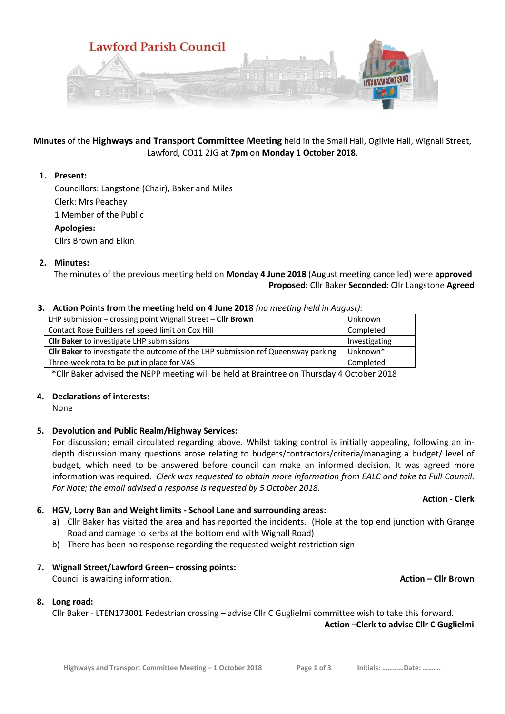

**Minutes** of the **Highways and Transport Committee Meeting** held in the Small Hall, Ogilvie Hall, Wignall Street, Lawford, CO11 2JG at **7pm** on **Monday 1 October 2018**.

# **1. Present:**

Councillors: Langstone (Chair), Baker and Miles Clerk: Mrs Peachey 1 Member of the Public **Apologies:** Cllrs Brown and Elkin

# **2. Minutes:**

 The minutes of the previous meeting held on **Monday 4 June 2018** (August meeting cancelled) were **approved Proposed:** Cllr Baker **Seconded:** Cllr Langstone **Agreed**

### **3. Action Points from the meeting held on 4 June 2018** *(no meeting held in August):*

| LHP submission $-$ crossing point Wignall Street $-$ Cllr Brown                          | Unknown       |
|------------------------------------------------------------------------------------------|---------------|
| Contact Rose Builders ref speed limit on Cox Hill                                        | Completed     |
| <b>Cllr Baker</b> to investigate LHP submissions                                         | Investigating |
| <b>Cllr Baker</b> to investigate the outcome of the LHP submission ref Queensway parking | Unknown*      |
| Three-week rota to be put in place for VAS                                               | Completed     |
|                                                                                          |               |

\*Cllr Baker advised the NEPP meeting will be held at Braintree on Thursday 4 October 2018

### **4. Declarations of interests:**

None

### **5. Devolution and Public Realm/Highway Services:**

For discussion; email circulated regarding above. Whilst taking control is initially appealing, following an indepth discussion many questions arose relating to budgets/contractors/criteria/managing a budget/ level of budget, which need to be answered before council can make an informed decision. It was agreed more information was required. *Clerk was requested to obtain more information from EALC and take to Full Council. For Note; the email advised a response is requested by 5 October 2018.* 

**Action - Clerk**

### **6. HGV, Lorry Ban and Weight limits - School Lane and surrounding areas:**

- a) Cllr Baker has visited the area and has reported the incidents. (Hole at the top end junction with Grange Road and damage to kerbs at the bottom end with Wignall Road)
- b) There has been no response regarding the requested weight restriction sign.

### **7. Wignall Street/Lawford Green– crossing points:**

Council is awaiting information. **Action – Cllr Brown**

### **8. Long road:**

Cllr Baker - LTEN173001 Pedestrian crossing – advise Cllr C Guglielmi committee wish to take this forward. **Action –Clerk to advise Cllr C Guglielmi**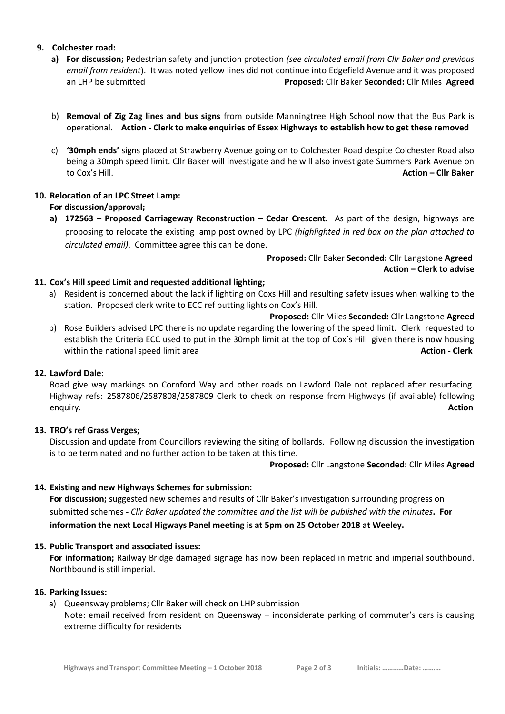### **9. Colchester road:**

- **a) For discussion;** Pedestrian safety and junction protection *(see circulated email from Cllr Baker and previous email from resident*). It was noted yellow lines did not continue into Edgefield Avenue and it was proposed an LHP be submitted **Proposed:** Cllr Baker **Seconded:** Cllr Miles **Agreed**
- b) **Removal of Zig Zag lines and bus signs** from outside Manningtree High School now that the Bus Park is operational. **Action - Clerk to make enquiries of Essex Highways to establish how to get these removed**
- c) **'30mph ends'** signs placed at Strawberry Avenue going on to Colchester Road despite Colchester Road also being a 30mph speed limit. Cllr Baker will investigate and he will also investigate Summers Park Avenue on to Cox's Hill. **Action – Cllr Baker**

# **10. Relocation of an LPC Street Lamp:**

# **For discussion/approval;**

**a) 172563 – Proposed Carriageway Reconstruction – Cedar Crescent.** As part of the design, highways are proposing to relocate the existing lamp post owned by LPC *(highlighted in red box on the plan attached to circulated email)*. Committee agree this can be done.

> **Proposed:** Cllr Baker **Seconded:** Cllr Langstone **Agreed Action – Clerk to advise**

# **11. Cox's Hill speed Limit and requested additional lighting;**

- a) Resident is concerned about the lack if lighting on Coxs Hill and resulting safety issues when walking to the station. Proposed clerk write to ECC ref putting lights on Cox's Hill.
- **Proposed:** Cllr Miles **Seconded:** Cllr Langstone **Agreed** b) Rose Builders advised LPC there is no update regarding the lowering of the speed limit. Clerk requested to establish the Criteria ECC used to put in the 30mph limit at the top of Cox's Hill given there is now housing within the national speed limit area **Action - Clerk Action - Clerk Action - Clerk Action - Clerk**

### **12. Lawford Dale:**

Road give way markings on Cornford Way and other roads on Lawford Dale not replaced after resurfacing. Highway refs: 2587806/2587808/2587809 Clerk to check on response from Highways (if available) following enquiry. **Action**

### **13. TRO's ref Grass Verges;**

Discussion and update from Councillors reviewing the siting of bollards. Following discussion the investigation is to be terminated and no further action to be taken at this time.

**Proposed:** Cllr Langstone **Seconded:** Cllr Miles **Agreed**

### **14. Existing and new Highways Schemes for submission:**

**For discussion;** suggested new schemes and results of Cllr Baker's investigation surrounding progress on submitted schemes **-** *Cllr Baker updated the committee and the list will be published with the minutes***. For information the next Local Higways Panel meeting is at 5pm on 25 October 2018 at Weeley.**

### **15. Public Transport and associated issues:**

**For information;** Railway Bridge damaged signage has now been replaced in metric and imperial southbound. Northbound is still imperial.

### **16. Parking Issues:**

a) Queensway problems; Cllr Baker will check on LHP submission Note: email received from resident on Queensway – inconsiderate parking of commuter's cars is causing